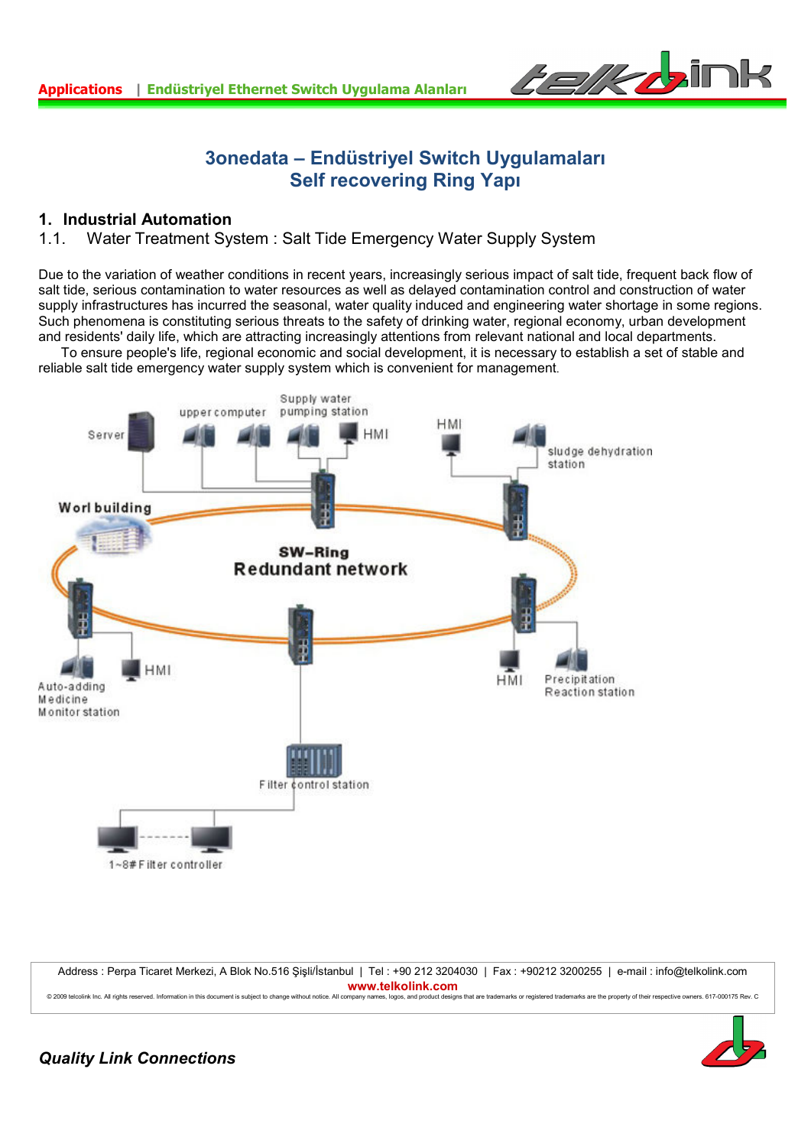

# **3onedata – Endüstriyel Switch Uygulamaları Self recovering Ring Yapı**

## **1. Industrial Automation**

## 1.1. Water Treatment System : Salt Tide Emergency Water Supply System

Due to the variation of weather conditions in recent years, increasingly serious impact of salt tide, frequent back flow of salt tide, serious contamination to water resources as well as delayed contamination control and construction of water supply infrastructures has incurred the seasonal, water quality induced and engineering water shortage in some regions. Such phenomena is constituting serious threats to the safety of drinking water, regional economy, urban development and residents' daily life, which are attracting increasingly attentions from relevant national and local departments.

 To ensure people's life, regional economic and social development, it is necessary to establish a set of stable and reliable salt tide emergency water supply system which is convenient for management.



Address : Perpa Ticaret Merkezi, A Blok No.516 Şişli/İstanbul | Tel : +90 212 3204030 | Fax : +90212 3200255 | e-mail : info@telkolink.com **www.telkolink.com**<br>A 2009 telective lac All crishts reserved Information in this document is subject to change without notice. All company names, logos, and product design os, and product designs that are trademarks or registered trademarks are the property of their respective owners. 617-000175 Pey C

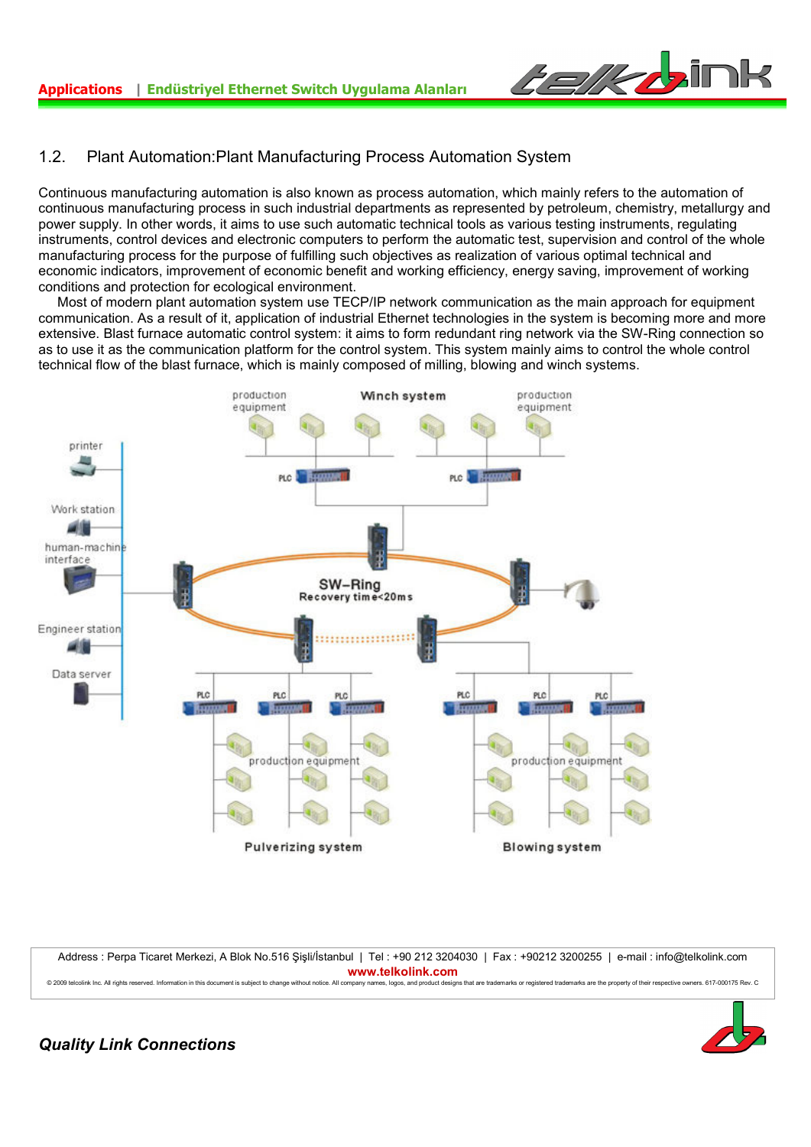

## 1.2. Plant Automation:Plant Manufacturing Process Automation System

Continuous manufacturing automation is also known as process automation, which mainly refers to the automation of continuous manufacturing process in such industrial departments as represented by petroleum, chemistry, metallurgy and power supply. In other words, it aims to use such automatic technical tools as various testing instruments, regulating instruments, control devices and electronic computers to perform the automatic test, supervision and control of the whole manufacturing process for the purpose of fulfilling such objectives as realization of various optimal technical and economic indicators, improvement of economic benefit and working efficiency, energy saving, improvement of working conditions and protection for ecological environment.

 Most of modern plant automation system use TECP/IP network communication as the main approach for equipment communication. As a result of it, application of industrial Ethernet technologies in the system is becoming more and more extensive. Blast furnace automatic control system: it aims to form redundant ring network via the SW-Ring connection so as to use it as the communication platform for the control system. This system mainly aims to control the whole control technical flow of the blast furnace, which is mainly composed of milling, blowing and winch systems.



Address : Perpa Ticaret Merkezi, A Blok No.516 Şişli/İstanbul | Tel : +90 212 3204030 | Fax : +90212 3200255 | e-mail : info@telkolink.com **www.telkolink.com** © 2009 telcolink Inc. All rights reserved. Information in this document is subject to change without notice. All company names, logos, and product designs that are trademarks or registered trademarks are the property of th

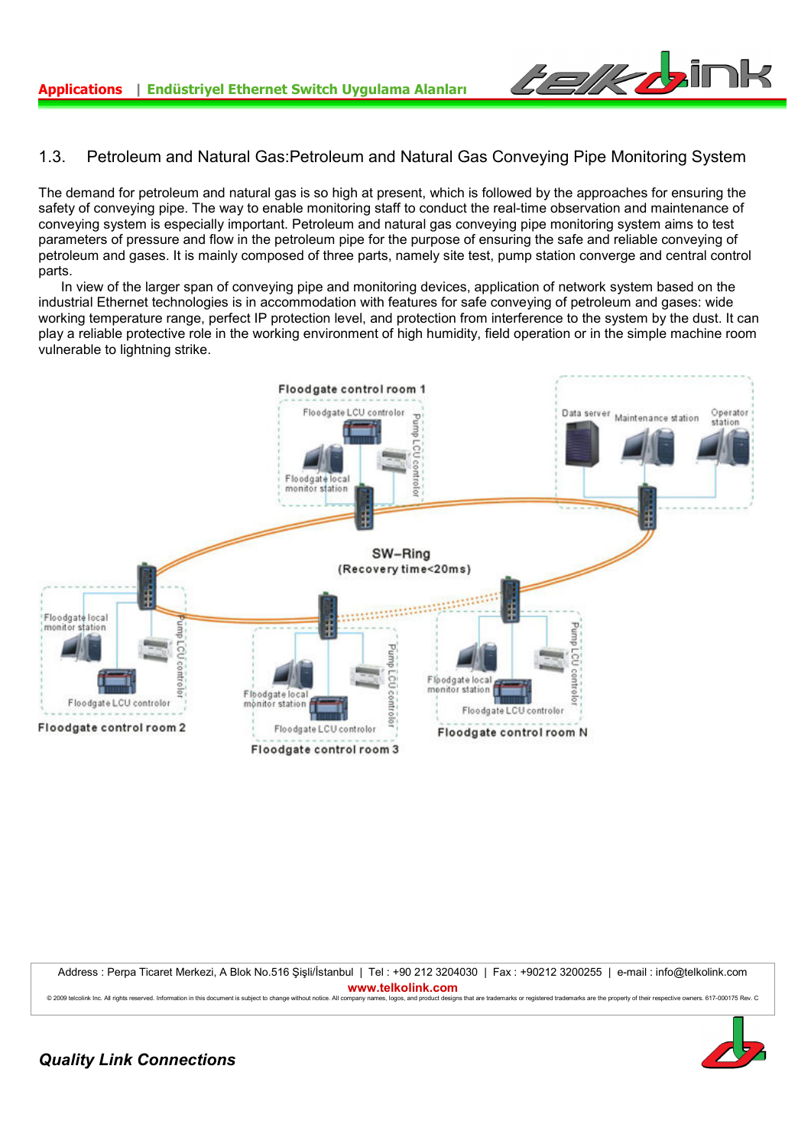

## 1.3. Petroleum and Natural Gas:Petroleum and Natural Gas Conveying Pipe Monitoring System

The demand for petroleum and natural gas is so high at present, which is followed by the approaches for ensuring the safety of conveying pipe. The way to enable monitoring staff to conduct the real-time observation and maintenance of conveying system is especially important. Petroleum and natural gas conveying pipe monitoring system aims to test parameters of pressure and flow in the petroleum pipe for the purpose of ensuring the safe and reliable conveying of petroleum and gases. It is mainly composed of three parts, namely site test, pump station converge and central control parts.

 In view of the larger span of conveying pipe and monitoring devices, application of network system based on the industrial Ethernet technologies is in accommodation with features for safe conveying of petroleum and gases: wide working temperature range, perfect IP protection level, and protection from interference to the system by the dust. It can play a reliable protective role in the working environment of high humidity, field operation or in the simple machine room vulnerable to lightning strike.



Address : Perpa Ticaret Merkezi, A Blok No.516 Şişli/İstanbul | Tel : +90 212 3204030 | Fax : +90212 3200255 | e-mail : info@telkolink.com **www.telkolink.com** © 2009 telephink Inc. All rights reserved Information in this document is subject to change without notice. All company names loops, and product designs that are trademarks or registered trademarks are the property of thei

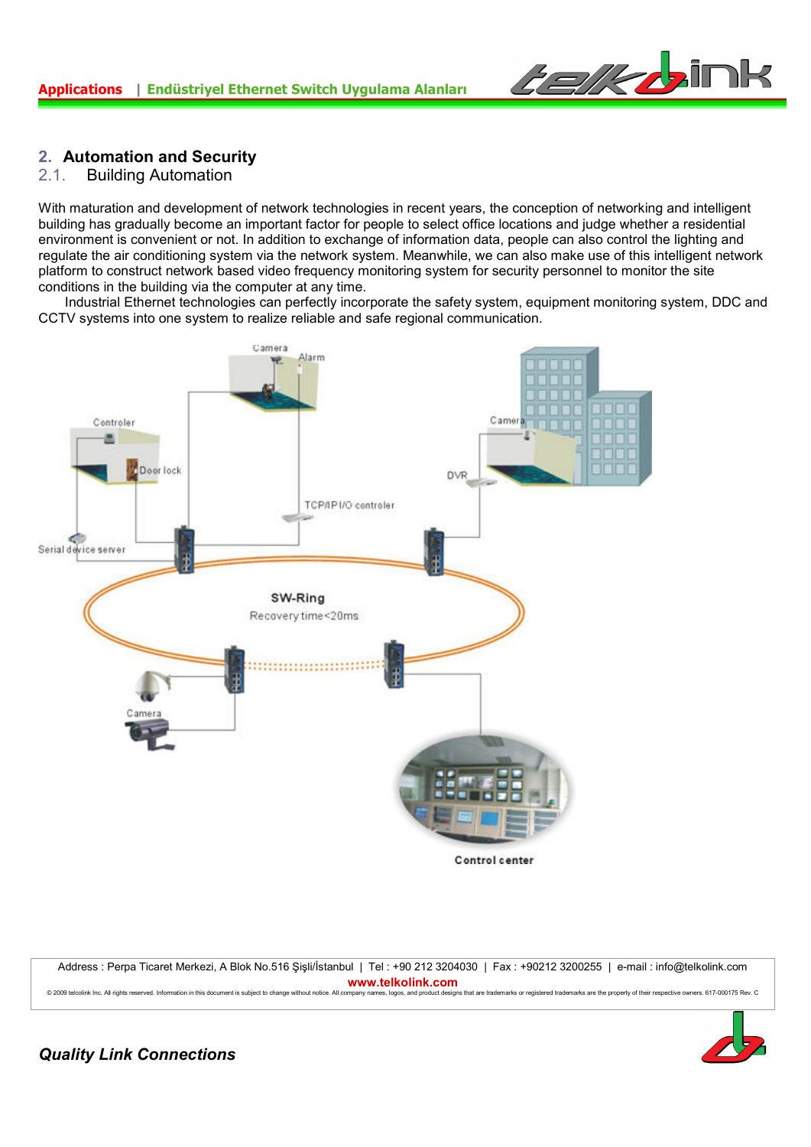

## **2. Automation and Security**

#### 2.1. Building Automation

With maturation and development of network technologies in recent years, the conception of networking and intelligent building has gradually become an important factor for people to select office locations and judge whether a residential environment is convenient or not. In addition to exchange of information data, people can also control the lighting and regulate the air conditioning system via the network system. Meanwhile, we can also make use of this intelligent network platform to construct network based video frequency monitoring system for security personnel to monitor the site conditions in the building via the computer at any time.

 Industrial Ethernet technologies can perfectly incorporate the safety system, equipment monitoring system, DDC and CCTV systems into one system to realize reliable and safe regional communication.



Address : Perpa Ticaret Merkezi, A Blok No.516 Şişli/İstanbul | Tel : +90 212 3204030 | Fax : +90212 3200255 | e-mail : info@telkolink.com **www.telkolink.com**<br>nmpany names logos and product designs that are trademarks or registered trademarks are the property of their respective owners. 617-000175 Rev. C © 2009 telcolink Inc. All rights reserved. Information in this document is subject to change without notice. All company nan

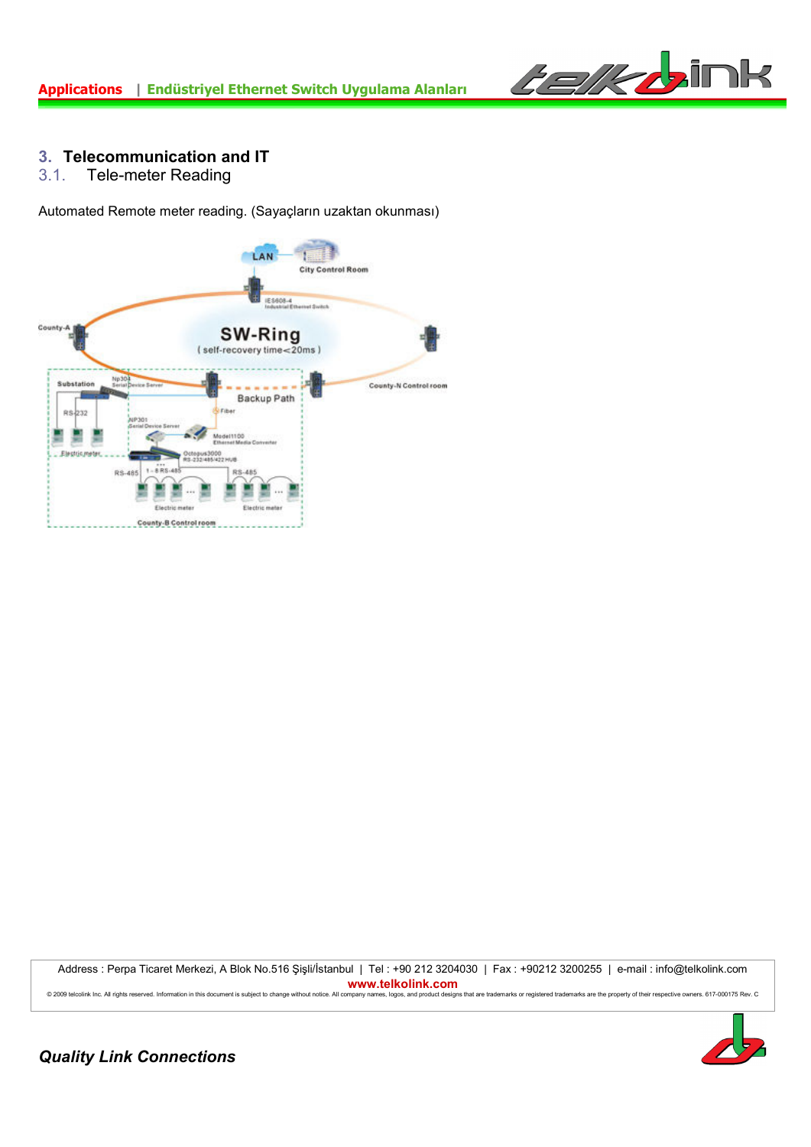

# **3. Telecommunication and IT**<br>**3.1.** Tele-meter Reading

Tele-meter Reading

Automated Remote meter reading. (Sayaçların uzaktan okunması)



Address : Perpa Ticaret Merkezi, A Blok No.516 Şişli/İstanbul | Tel : +90 212 3204030 | Fax : +90212 3200255 | e-mail : info@telkolink.com **www.telkolink.com** © 2009 telcolink Inc. All rights reserved. Information in this document is subject to change without notice. All company names, logos, and product designs that are trademarks or registered trademarks are the property of th

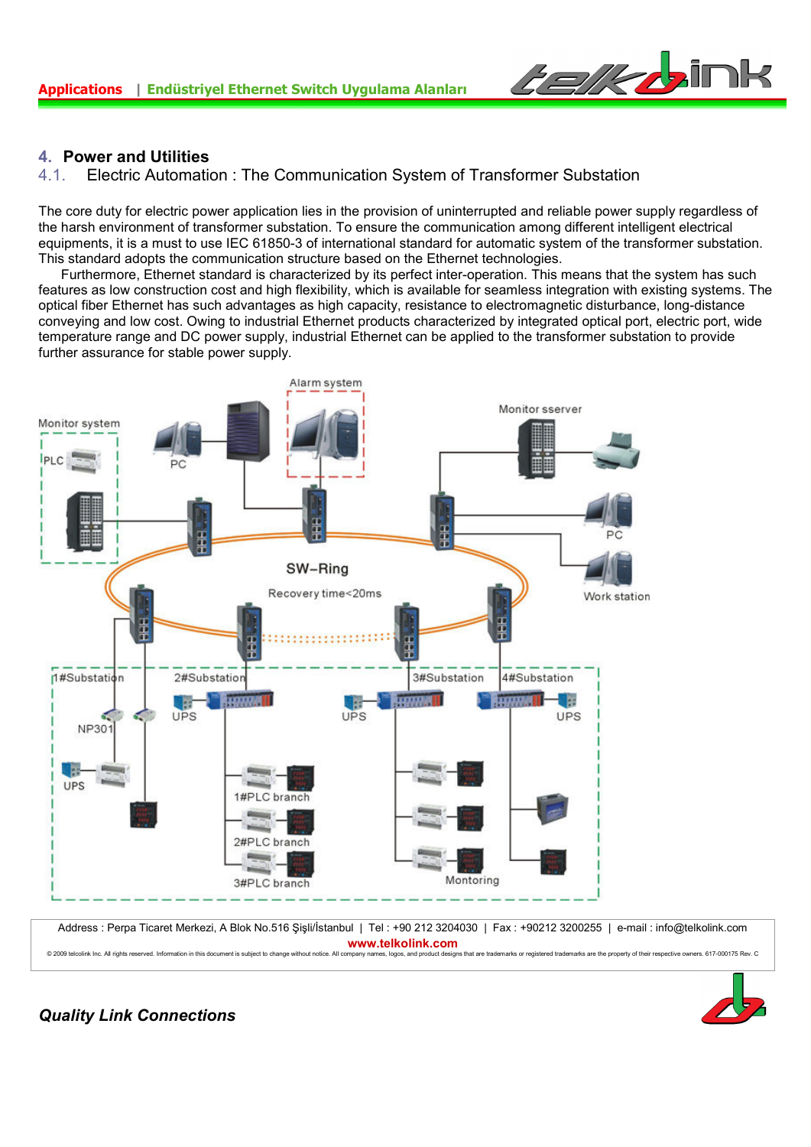

## **4. Power and Utilities**

### 4.1. Electric Automation : The Communication System of Transformer Substation

The core duty for electric power application lies in the provision of uninterrupted and reliable power supply regardless of the harsh environment of transformer substation. To ensure the communication among different intelligent electrical equipments, it is a must to use IEC 61850-3 of international standard for automatic system of the transformer substation. This standard adopts the communication structure based on the Ethernet technologies.

 Furthermore, Ethernet standard is characterized by its perfect inter-operation. This means that the system has such features as low construction cost and high flexibility, which is available for seamless integration with existing systems. The optical fiber Ethernet has such advantages as high capacity, resistance to electromagnetic disturbance, long-distance conveying and low cost. Owing to industrial Ethernet products characterized by integrated optical port, electric port, wide temperature range and DC power supply, industrial Ethernet can be applied to the transformer substation to provide further assurance for stable power supply.



Address : Perpa Ticaret Merkezi, A Blok No.516 Şişli/İstanbul | Tel : +90 212 3204030 | Fax : +90212 3200255 | e-mail : info@telkolink.com **www.telkolink.com** © 2009 telcolink Inc. All rights reserved. Information in this document is subject to change without notice. All company names. logos, and product designs that are trademarks or registered trademarks are the property of th

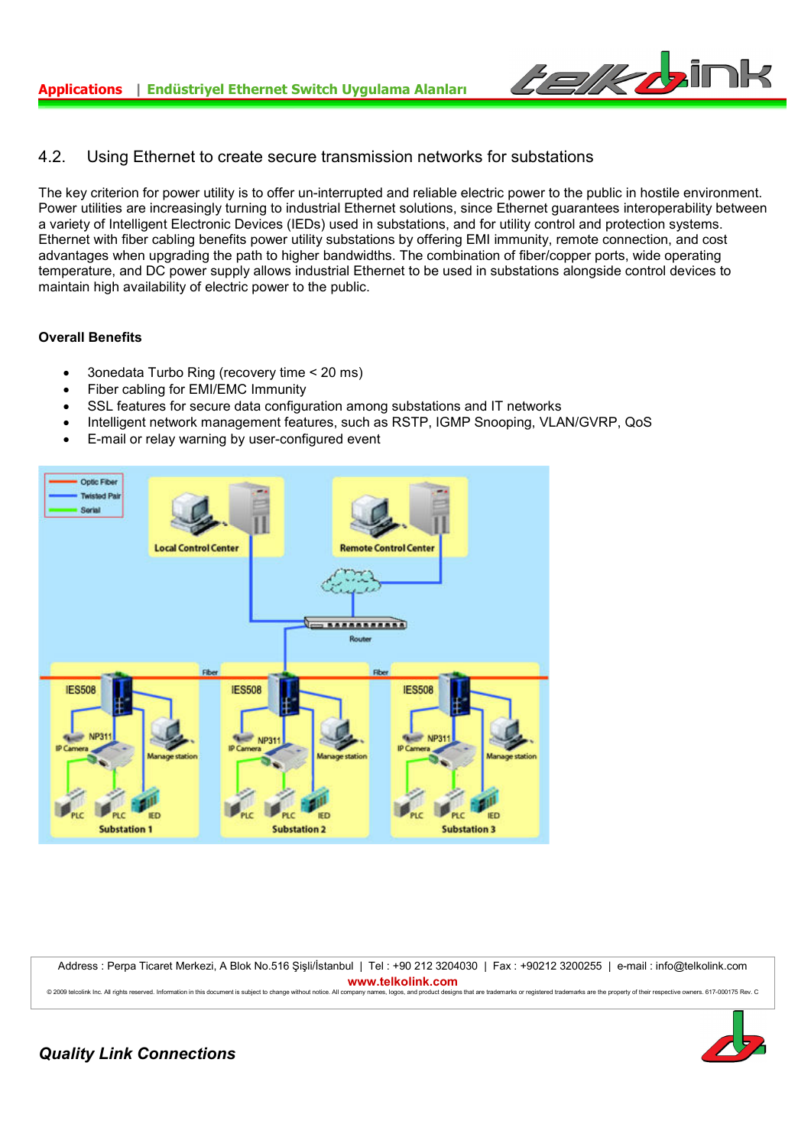

## 4.2. Using Ethernet to create secure transmission networks for substations

The key criterion for power utility is to offer un-interrupted and reliable electric power to the public in hostile environment. Power utilities are increasingly turning to industrial Ethernet solutions, since Ethernet guarantees interoperability between a variety of Intelligent Electronic Devices (IEDs) used in substations, and for utility control and protection systems. Ethernet with fiber cabling benefits power utility substations by offering EMI immunity, remote connection, and cost advantages when upgrading the path to higher bandwidths. The combination of fiber/copper ports, wide operating temperature, and DC power supply allows industrial Ethernet to be used in substations alongside control devices to maintain high availability of electric power to the public.

#### **Overall Benefits**

- 3onedata Turbo Ring (recovery time < 20 ms)
- Fiber cabling for EMI/EMC Immunity
- SSL features for secure data configuration among substations and IT networks
- Intelligent network management features, such as RSTP, IGMP Snooping, VLAN/GVRP, QoS
- E-mail or relay warning by user-configured event



Address : Perpa Ticaret Merkezi, A Blok No.516 Şişli/İstanbul | Tel : +90 212 3204030 | Fax : +90212 3200255 | e-mail : info@telkolink.com **www.telkolink.com**<br>© 2009 telepliek loc. All criptis reserved. Information in this document is subject to change without notice. All company names, loops, and product design designs that are trademarks or registered trademarks are the property of their respective owners, 617-000175 Rev. C

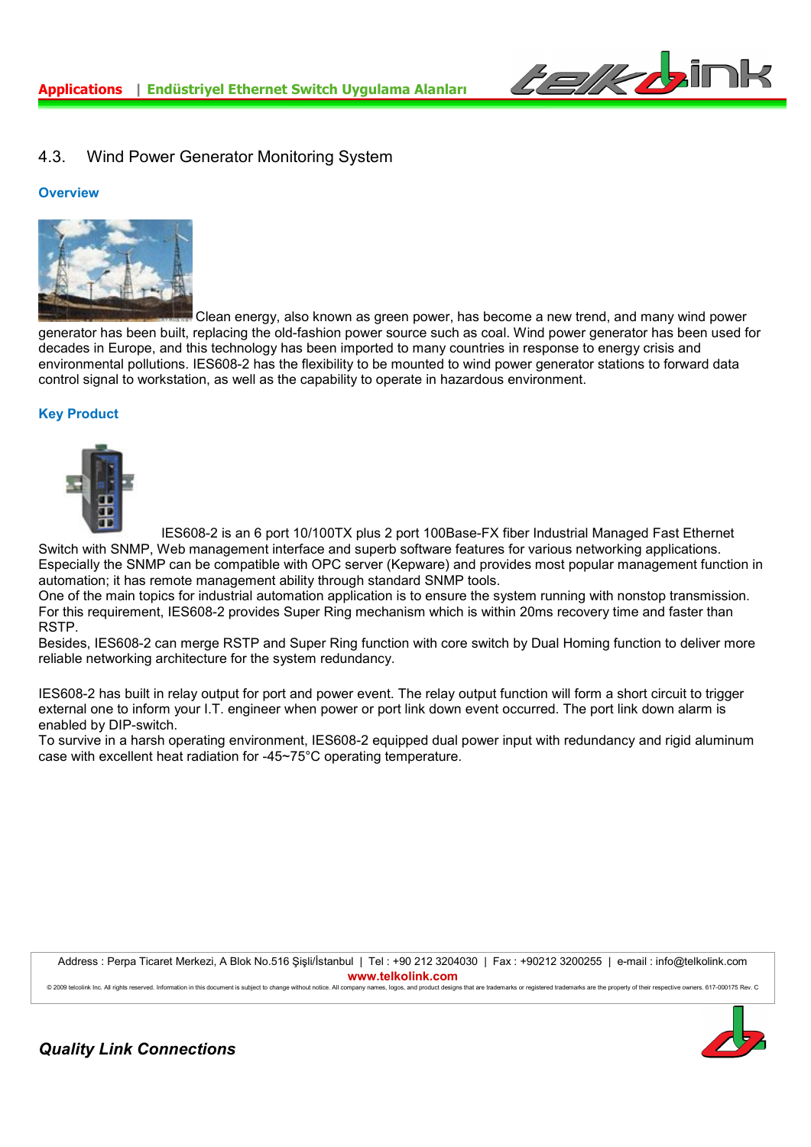

## 4.3. Wind Power Generator Monitoring System

#### **Overview**



 Clean energy, also known as green power, has become a new trend, and many wind power generator has been built, replacing the old-fashion power source such as coal. Wind power generator has been used for decades in Europe, and this technology has been imported to many countries in response to energy crisis and environmental pollutions. IES608-2 has the flexibility to be mounted to wind power generator stations to forward data control signal to workstation, as well as the capability to operate in hazardous environment.

#### **Key Product**



IES608-2 is an 6 port 10/100TX plus 2 port 100Base-FX fiber Industrial Managed Fast Ethernet

Switch with SNMP, Web management interface and superb software features for various networking applications. Especially the SNMP can be compatible with OPC server (Kepware) and provides most popular management function in automation; it has remote management ability through standard SNMP tools.

One of the main topics for industrial automation application is to ensure the system running with nonstop transmission. For this requirement, IES608-2 provides Super Ring mechanism which is within 20ms recovery time and faster than RSTP.

Besides, IES608-2 can merge RSTP and Super Ring function with core switch by Dual Homing function to deliver more reliable networking architecture for the system redundancy.

IES608-2 has built in relay output for port and power event. The relay output function will form a short circuit to trigger external one to inform your I.T. engineer when power or port link down event occurred. The port link down alarm is enabled by DIP-switch.

To survive in a harsh operating environment, IES608-2 equipped dual power input with redundancy and rigid aluminum case with excellent heat radiation for -45~75°C operating temperature.

Address : Perpa Ticaret Merkezi, A Blok No.516 Şişli/İstanbul | Tel : +90 212 3204030 | Fax : +90212 3200255 | e-mail : info@telkolink.com **www.telkolink.com**

@ 2009 telcolink Inc. All rights reserved. Information in this document is subject to change without notice. All company names, logos, and product designs that are trademarks or registered trademarks are the property of th

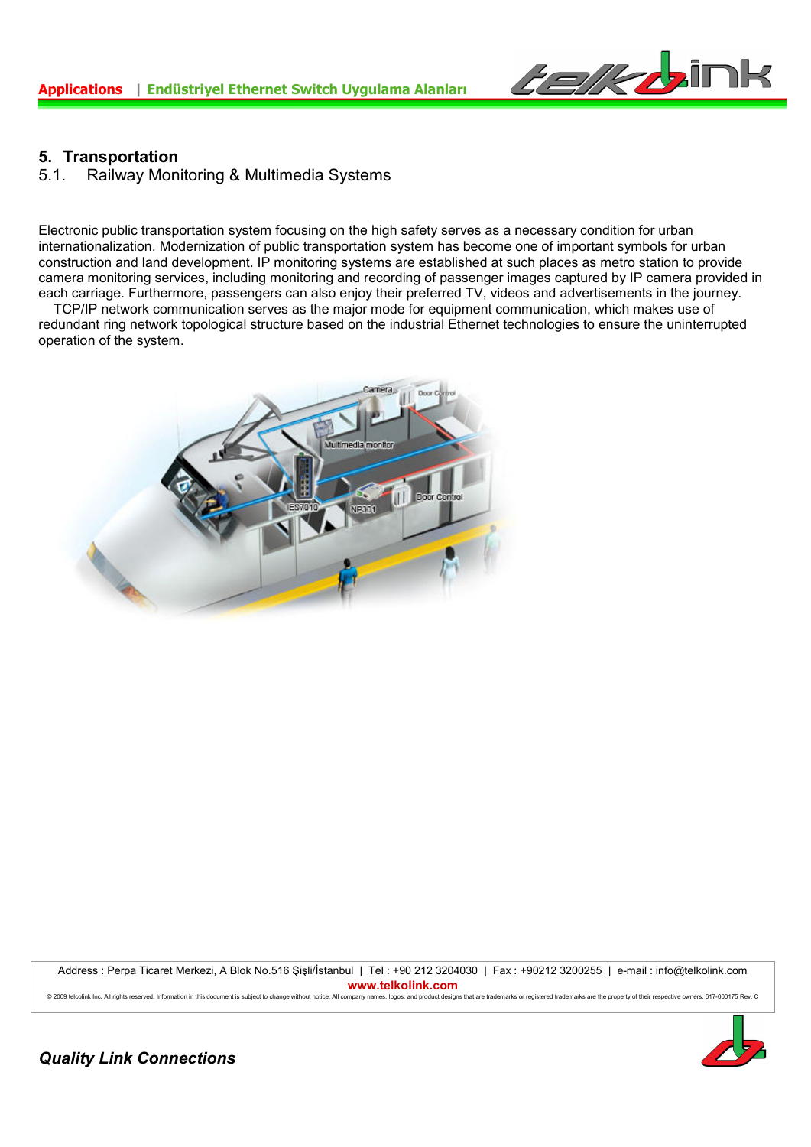

## **5. Transportation**

5.1. Railway Monitoring & Multimedia Systems

Electronic public transportation system focusing on the high safety serves as a necessary condition for urban internationalization. Modernization of public transportation system has become one of important symbols for urban construction and land development. IP monitoring systems are established at such places as metro station to provide camera monitoring services, including monitoring and recording of passenger images captured by IP camera provided in each carriage. Furthermore, passengers can also enjoy their preferred TV, videos and advertisements in the journey.

 TCP/IP network communication serves as the major mode for equipment communication, which makes use of redundant ring network topological structure based on the industrial Ethernet technologies to ensure the uninterrupted operation of the system.



Address : Perpa Ticaret Merkezi, A Blok No.516 Şişli/İstanbul | Tel : +90 212 3204030 | Fax : +90212 3200255 | e-mail : info@telkolink.com **www.telkolink.com**<br>
© 2009 teleplink loc. All rights reserved. Information in this document is subject to change without police. All company pames loops and product design

es, logos, and product designs that are trademarks or registered trademarks are the property of their respective owners. 617-000175 Rev. C.

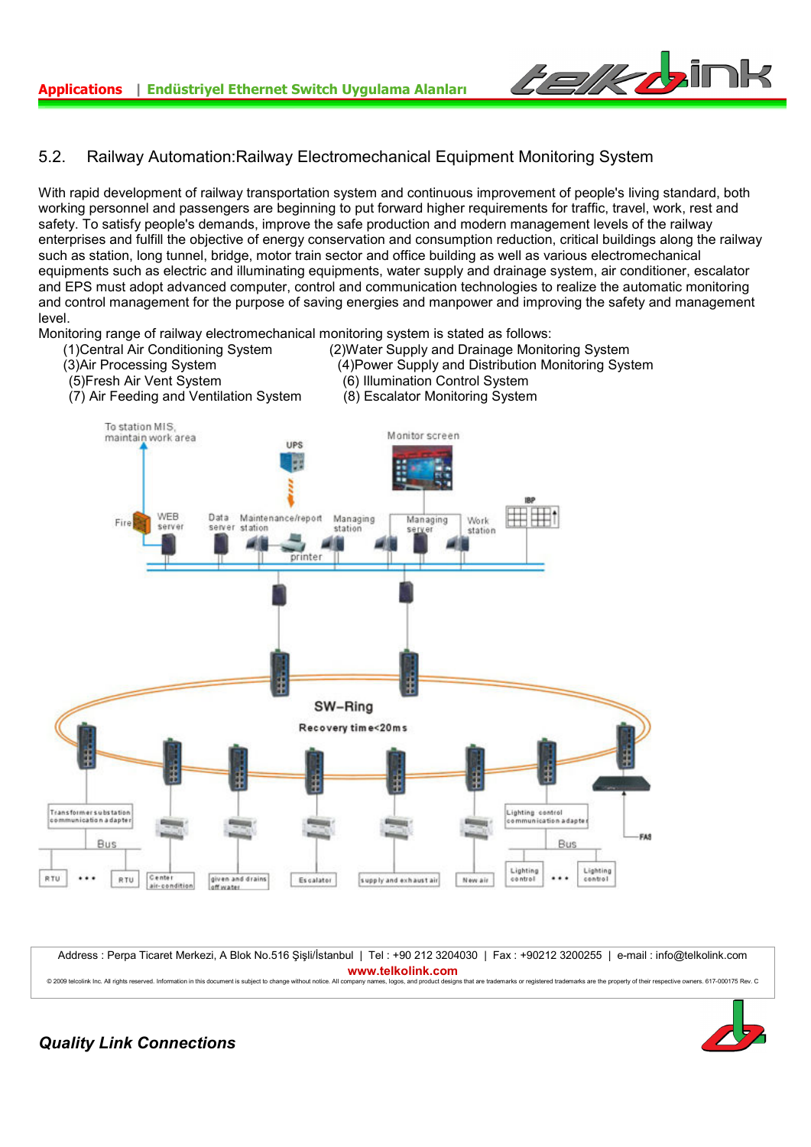

## 5.2. Railway Automation:Railway Electromechanical Equipment Monitoring System

With rapid development of railway transportation system and continuous improvement of people's living standard, both working personnel and passengers are beginning to put forward higher requirements for traffic, travel, work, rest and safety. To satisfy people's demands, improve the safe production and modern management levels of the railway enterprises and fulfill the objective of energy conservation and consumption reduction, critical buildings along the railway such as station, long tunnel, bridge, motor train sector and office building as well as various electromechanical equipments such as electric and illuminating equipments, water supply and drainage system, air conditioner, escalator and EPS must adopt advanced computer, control and communication technologies to realize the automatic monitoring and control management for the purpose of saving energies and manpower and improving the safety and management level.



Address : Perpa Ticaret Merkezi, A Blok No.516 Şişli/İstanbul | Tel : +90 212 3204030 | Fax : +90212 3200255 | e-mail : info@telkolink.com **www.telkolink.com** © 2009 telcolink Inc. All rights reserved. Information in this document is subject to change without notice. All company names, logos, and product designs that are trademarks or registered trademarks are the property of th

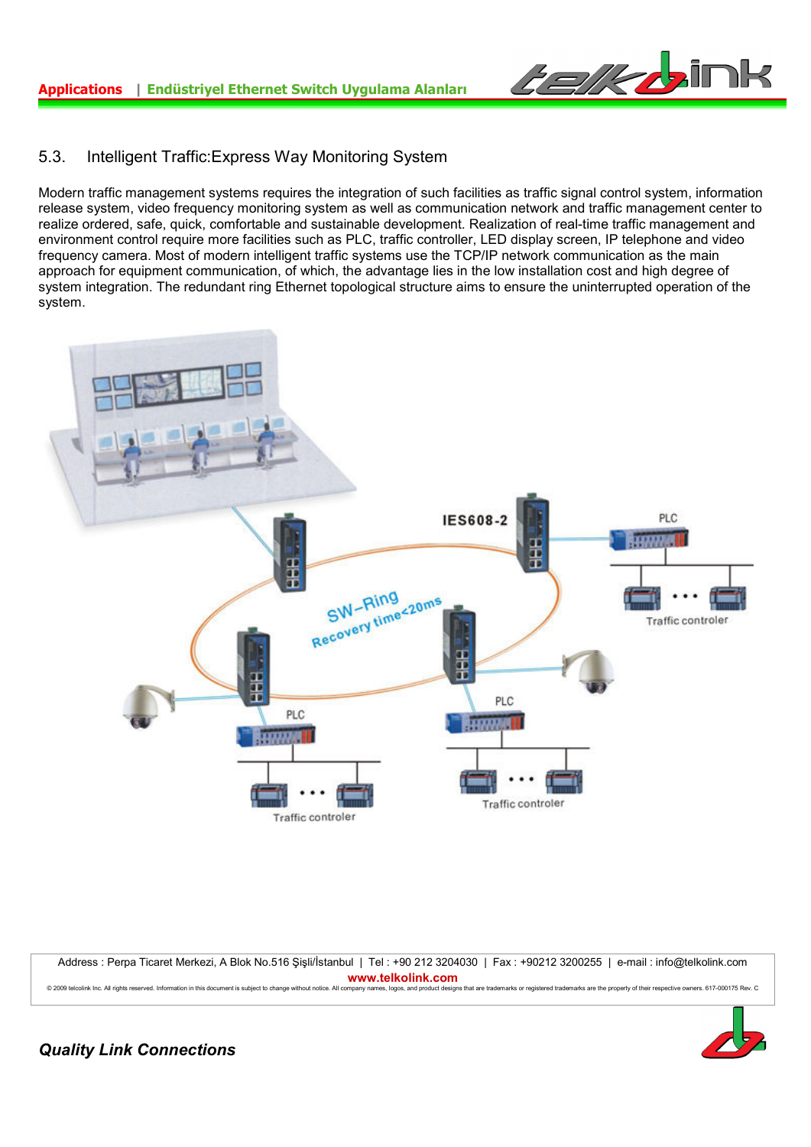

## 5.3. Intelligent Traffic:Express Way Monitoring System

Modern traffic management systems requires the integration of such facilities as traffic signal control system, information release system, video frequency monitoring system as well as communication network and traffic management center to realize ordered, safe, quick, comfortable and sustainable development. Realization of real-time traffic management and environment control require more facilities such as PLC, traffic controller, LED display screen, IP telephone and video frequency camera. Most of modern intelligent traffic systems use the TCP/IP network communication as the main approach for equipment communication, of which, the advantage lies in the low installation cost and high degree of system integration. The redundant ring Ethernet topological structure aims to ensure the uninterrupted operation of the system.



Address : Perpa Ticaret Merkezi, A Blok No.516 Şişli/İstanbul | Tel : +90 212 3204030 | Fax : +90212 3200255 | e-mail : info@telkolink.com **www.telkolink.com** © 2009 telcolink Inc. All rights reserved. Information in this document is subject to change without notice. All company names, logos, and product designs that are trademarks or registered trademarks are the property of th